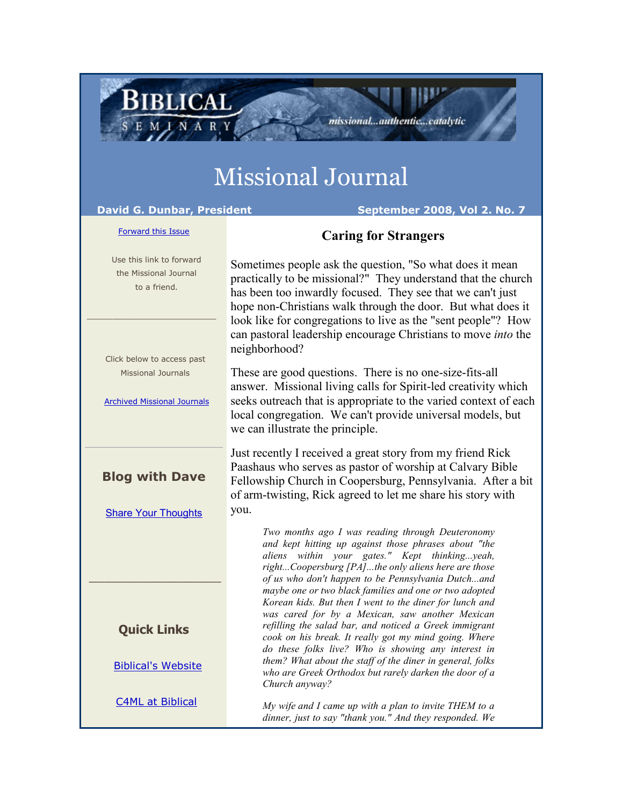# Missional Journal

**BIBLICAL** 

### **David G. Dunbar, President September 2008, Vol 2. No. 7**

#### [Forward this Issue](http://ui.constantcontact.com/sa/fwtf.jsp?m=1101554955461&a=1101726756528&id=preview)

## **Caring for Strangers**

missional...authentic...catalytic

 Use this link to forward the Missional Journal to a friend. \_\_\_\_\_\_\_\_\_\_\_\_\_\_\_\_\_\_\_\_\_\_\_\_\_ Click below to access past Missional Journals [Archived Missional Journals](http://rs6.net/tn.jsp?e=001Fl-bft8KcLNJoLxIcE9wl4ne28OHDLfGiqZ-DPk-03HcvPdpQ3G_B73G-4fh8t0r3sAeRRenManB-s5AF1Sr1TBCmHv2eGK7H6BS0wgqxLzTORe8g6b5fzczv0YbFAT6HZVxuIKoGr9hEDPtblfGFqe8lKsMQhHjZfykiH8Ay58=) **Blog with Dave** [Share Your Thoughts](http://rs6.net/tn.jsp?e=001Fl-bft8KcLNJoLxIcE9wl4ne28OHDLfGiqZ-DPk-03HcvPdpQ3G_B73G-4fh8t0riuy6S8vlUYyV6t8Ha64B_-NrwaYUvQddgR7-ZJFY8jhyarT5FgT9rKipI2M77HNasvcTgZj_wGk=) \_\_\_\_\_\_\_\_\_\_\_\_\_\_\_\_\_ **Quick Links** [Biblical's Website](http://rs6.net/tn.jsp?e=001Fl-bft8KcLNJoLxIcE9wl4ne28OHDLfGiqZ-DPk-03HcvPdpQ3G_B73G-4fh8t0r3sAeRRenManB-s5AF1Sr1Ug0aUOaGHmO80joBTBR7QiwKC1KQIQUc6EBD3FQA-OX) [C4ML at Biblical](http://rs6.net/tn.jsp?e=001Fl-bft8KcLNJoLxIcE9wl4ne28OHDLfGiqZ-DPk-03HcvPdpQ3G_B73G-4fh8t0r3sAeRRenMamQQpLa-UVrYfxkDwoG5c0OgkCyuCD2-rQ=) Sometimes people ask the question, "So what does it mean practically to be missional?" They understand that the church has been too inwardly focused. They see that we can't just hope non-Christians walk through the door. But what does it look like for congregations to live as the "sent people"? How can pastoral leadership encourage Christians to move *into* the neighborhood? These are good questions. There is no one-size-fits-all answer. Missional living calls for Spirit-led creativity which seeks outreach that is appropriate to the varied context of each local congregation. We can't provide universal models, but we can illustrate the principle. Just recently I received a great story from my friend Rick Paashaus who serves as pastor of worship at Calvary Bible Fellowship Church in Coopersburg, Pennsylvania. After a bit of arm-twisting, Rick agreed to let me share his story with you. *Two months ago I was reading through Deuteronomy and kept hitting up against those phrases about "the aliens within your gates." Kept thinking...yeah, right...Coopersburg [PA]...the only aliens here are those of us who don't happen to be Pennsylvania Dutch...and maybe one or two black families and one or two adopted Korean kids. But then I went to the diner for lunch and was cared for by a Mexican, saw another Mexican refilling the salad bar, and noticed a Greek immigrant cook on his break. It really got my mind going. Where do these folks live? Who is showing any interest in them? What about the staff of the diner in general, folks who are Greek Orthodox but rarely darken the door of a Church anyway? My wife and I came up with a plan to invite THEM to a dinner, just to say "thank you." And they responded. We*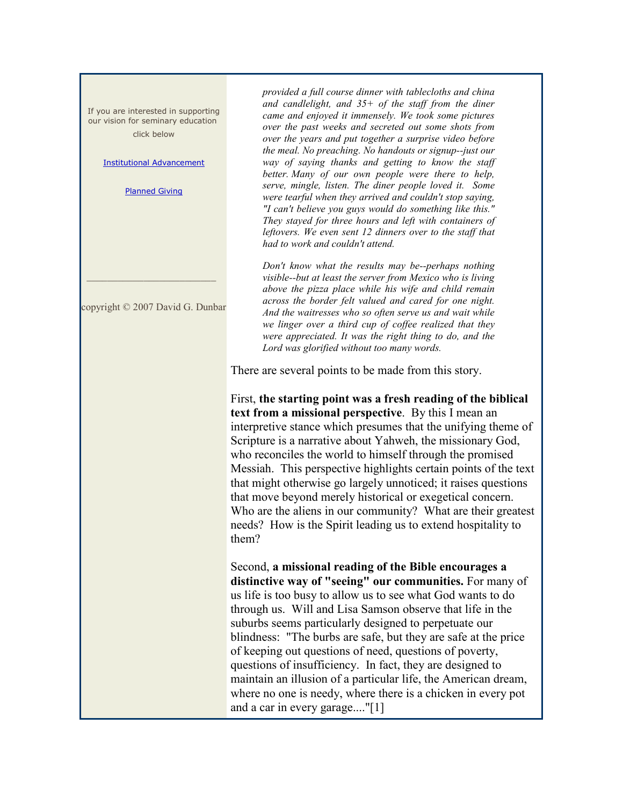If you are interested in supporting our vision for seminary education click below

#### [Institutional Advancement](http://rs6.net/tn.jsp?e=001Fl-bft8KcLNJoLxIcE9wl4ne28OHDLfGiqZ-DPk-03HcvPdpQ3G_B73G-4fh8t0r3sAeRRenManB-s5AF1Sr1TBCmHv2eGK7nyXsDwPH3JHexHi0pMPZAZqhVN8iewsVslO9jm8xWlXuWDya-9jMNIF3JbaZj10YuQMFSZ-_DPUtsPCDNwYy9YJVBw2U9Z9j)

[Planned Giving](http://rs6.net/tn.jsp?e=001Fl-bft8KcLNJoLxIcE9wl4ne28OHDLfGiqZ-DPk-03HcvPdpQ3G_B73G-4fh8t0r3sAeRRenManB-s5AF1Sr1XzYuQ-td4vqyek8rHfFpcxccf_s_V7wrDGvrTRT01I3LA6x4eX3TutrX6d11TrGgD9WmHpnaZ468p3mNyCWyB0=)

copyright © 2007 David G. Dunbar

\_\_\_\_\_\_\_\_\_\_\_\_\_\_\_\_\_\_\_\_\_\_\_\_\_

*provided a full course dinner with tablecloths and china and candlelight, and 35+ of the staff from the diner came and enjoyed it immensely. We took some pictures over the past weeks and secreted out some shots from over the years and put together a surprise video before the meal. No preaching. No handouts or signup--just our way of saying thanks and getting to know the staff better. Many of our own people were there to help, serve, mingle, listen. The diner people loved it. Some were tearful when they arrived and couldn't stop saying, "I can't believe you guys would do something like this." They stayed for three hours and left with containers of leftovers. We even sent 12 dinners over to the staff that had to work and couldn't attend.* 

*Don't know what the results may be--perhaps nothing visible--but at least the server from Mexico who is living above the pizza place while his wife and child remain across the border felt valued and cared for one night. And the waitresses who so often serve us and wait while we linger over a third cup of coffee realized that they were appreciated. It was the right thing to do, and the Lord was glorified without too many words.* 

There are several points to be made from this story.

First, **the starting point was a fresh reading of the biblical text from a missional perspective**. By this I mean an interpretive stance which presumes that the unifying theme of Scripture is a narrative about Yahweh, the missionary God, who reconciles the world to himself through the promised Messiah. This perspective highlights certain points of the text that might otherwise go largely unnoticed; it raises questions that move beyond merely historical or exegetical concern. Who are the aliens in our community? What are their greatest needs? How is the Spirit leading us to extend hospitality to them?

Second, **a missional reading of the Bible encourages a distinctive way of "seeing" our communities.** For many of us life is too busy to allow us to see what God wants to do through us. Will and Lisa Samson observe that life in the suburbs seems particularly designed to perpetuate our blindness: "The burbs are safe, but they are safe at the price of keeping out questions of need, questions of poverty, questions of insufficiency. In fact, they are designed to maintain an illusion of a particular life, the American dream, where no one is needy, where there is a chicken in every pot and a car in every garage...."[1]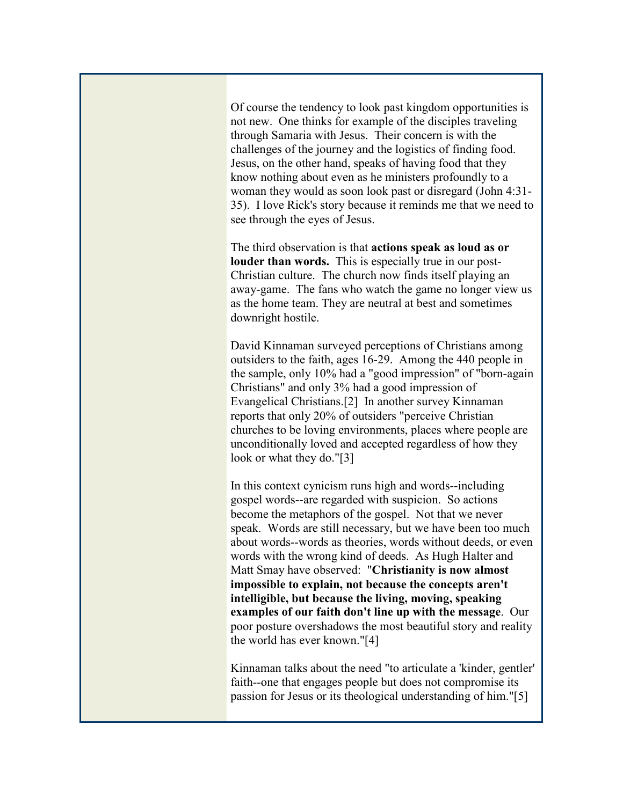Of course the tendency to look past kingdom opportunities is not new. One thinks for example of the disciples traveling through Samaria with Jesus. Their concern is with the challenges of the journey and the logistics of finding food. Jesus, on the other hand, speaks of having food that they know nothing about even as he ministers profoundly to a woman they would as soon look past or disregard (John 4:31- 35). I love Rick's story because it reminds me that we need to see through the eyes of Jesus.

The third observation is that **actions speak as loud as or louder than words.** This is especially true in our post-Christian culture. The church now finds itself playing an away-game. The fans who watch the game no longer view us as the home team. They are neutral at best and sometimes downright hostile.

David Kinnaman surveyed perceptions of Christians among outsiders to the faith, ages 16-29. Among the 440 people in the sample, only 10% had a "good impression" of "born-again Christians" and only 3% had a good impression of Evangelical Christians.[2] In another survey Kinnaman reports that only 20% of outsiders "perceive Christian churches to be loving environments, places where people are unconditionally loved and accepted regardless of how they look or what they do."[3]

In this context cynicism runs high and words--including gospel words--are regarded with suspicion. So actions become the metaphors of the gospel. Not that we never speak. Words are still necessary, but we have been too much about words--words as theories, words without deeds, or even words with the wrong kind of deeds. As Hugh Halter and Matt Smay have observed: "**Christianity is now almost impossible to explain, not because the concepts aren't intelligible, but because the living, moving, speaking examples of our faith don't line up with the message**. Our poor posture overshadows the most beautiful story and reality the world has ever known."[4]

Kinnaman talks about the need "to articulate a 'kinder, gentler' faith--one that engages people but does not compromise its passion for Jesus or its theological understanding of him."[5]